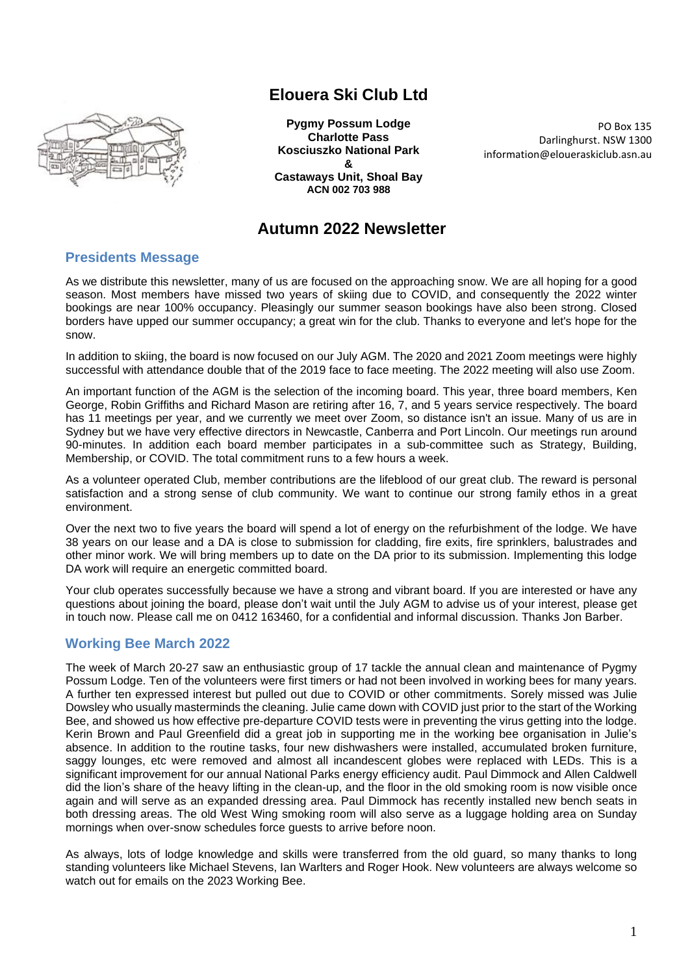

# **Elouera Ski Club Ltd**

**Pygmy Possum Lodge Charlotte Pass Kosciuszko National Park & Castaways Unit, Shoal Bay ACN 002 703 988**

PO Box 135 Darlinghurst. NSW 1300 information@eloueraskiclub.asn.au

## **Autumn 2022 Newsletter**

### **Presidents Message**

As we distribute this newsletter, many of us are focused on the approaching snow. We are all hoping for a good season. Most members have missed two years of skiing due to COVID, and consequently the 2022 winter bookings are near 100% occupancy. Pleasingly our summer season bookings have also been strong. Closed borders have upped our summer occupancy; a great win for the club. Thanks to everyone and let's hope for the snow.

In addition to skiing, the board is now focused on our July AGM. The 2020 and 2021 Zoom meetings were highly successful with attendance double that of the 2019 face to face meeting. The 2022 meeting will also use Zoom.

An important function of the AGM is the selection of the incoming board. This year, three board members, Ken George, Robin Griffiths and Richard Mason are retiring after 16, 7, and 5 years service respectively. The board has 11 meetings per year, and we currently we meet over Zoom, so distance isn't an issue. Many of us are in Sydney but we have very effective directors in Newcastle, Canberra and Port Lincoln. Our meetings run around 90-minutes. In addition each board member participates in a sub-committee such as Strategy, Building, Membership, or COVID. The total commitment runs to a few hours a week.

As a volunteer operated Club, member contributions are the lifeblood of our great club. The reward is personal satisfaction and a strong sense of club community. We want to continue our strong family ethos in a great environment.

Over the next two to five years the board will spend a lot of energy on the refurbishment of the lodge. We have 38 years on our lease and a DA is close to submission for cladding, fire exits, fire sprinklers, balustrades and other minor work. We will bring members up to date on the DA prior to its submission. Implementing this lodge DA work will require an energetic committed board.

Your club operates successfully because we have a strong and vibrant board. If you are interested or have any questions about joining the board, please don't wait until the July AGM to advise us of your interest, please get in touch now. Please call me on 0412 163460, for a confidential and informal discussion. Thanks Jon Barber.

### **Working Bee March 2022**

The week of March 20-27 saw an enthusiastic group of 17 tackle the annual clean and maintenance of Pygmy Possum Lodge. Ten of the volunteers were first timers or had not been involved in working bees for many years. A further ten expressed interest but pulled out due to COVID or other commitments. Sorely missed was Julie Dowsley who usually masterminds the cleaning. Julie came down with COVID just prior to the start of the Working Bee, and showed us how effective pre-departure COVID tests were in preventing the virus getting into the lodge. Kerin Brown and Paul Greenfield did a great job in supporting me in the working bee organisation in Julie's absence. In addition to the routine tasks, four new dishwashers were installed, accumulated broken furniture, saggy lounges, etc were removed and almost all incandescent globes were replaced with LEDs. This is a significant improvement for our annual National Parks energy efficiency audit. Paul Dimmock and Allen Caldwell did the lion's share of the heavy lifting in the clean-up, and the floor in the old smoking room is now visible once again and will serve as an expanded dressing area. Paul Dimmock has recently installed new bench seats in both dressing areas. The old West Wing smoking room will also serve as a luggage holding area on Sunday mornings when over-snow schedules force guests to arrive before noon.

As always, lots of lodge knowledge and skills were transferred from the old guard, so many thanks to long standing volunteers like Michael Stevens, Ian Warlters and Roger Hook. New volunteers are always welcome so watch out for emails on the 2023 Working Bee.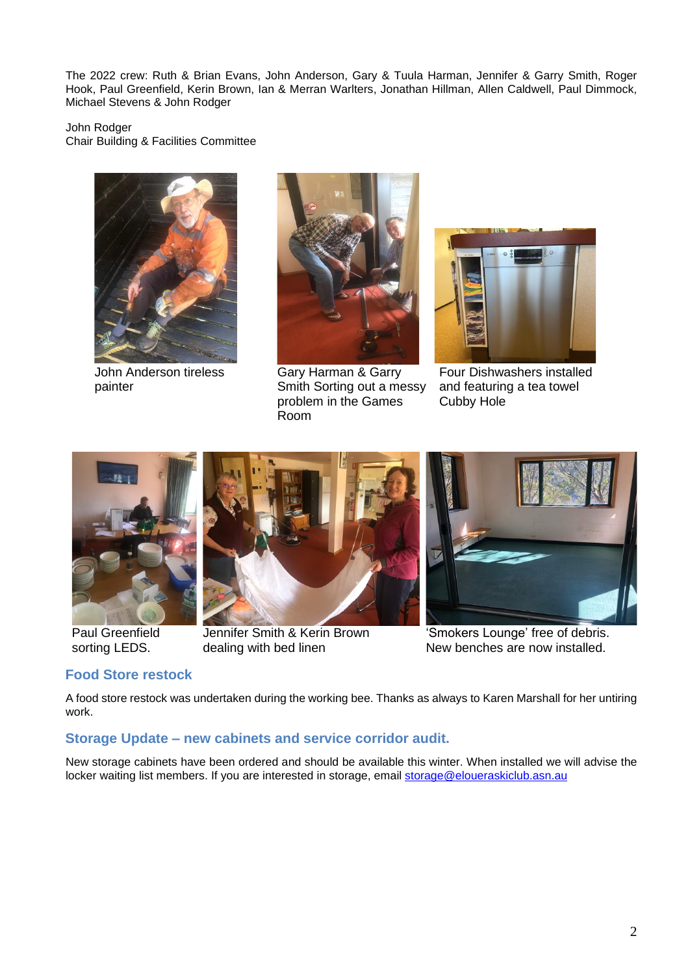The 2022 crew: Ruth & Brian Evans, John Anderson, Gary & Tuula Harman, Jennifer & Garry Smith, Roger Hook, Paul Greenfield, Kerin Brown, Ian & Merran Warlters, Jonathan Hillman, Allen Caldwell, Paul Dimmock, Michael Stevens & John Rodger

#### John Rodger

Chair Building & Facilities Committee



John Anderson tireless painter



Gary Harman & Garry Smith Sorting out a messy problem in the Games Room



Four Dishwashers installed and featuring a tea towel Cubby Hole



Paul Greenfield sorting LEDS.



Jennifer Smith & Kerin Brown dealing with bed linen



'Smokers Lounge' free of debris. New benches are now installed.

### **Food Store restock**

A food store restock was undertaken during the working bee. Thanks as always to Karen Marshall for her untiring work.

### **Storage Update – new cabinets and service corridor audit.**

New storage cabinets have been ordered and should be available this winter. When installed we will advise the locker waiting list members. If you are interested in storage, email [storage@eloueraskiclub.asn.au](mailto:storage@eloueraskiclub.asn.au)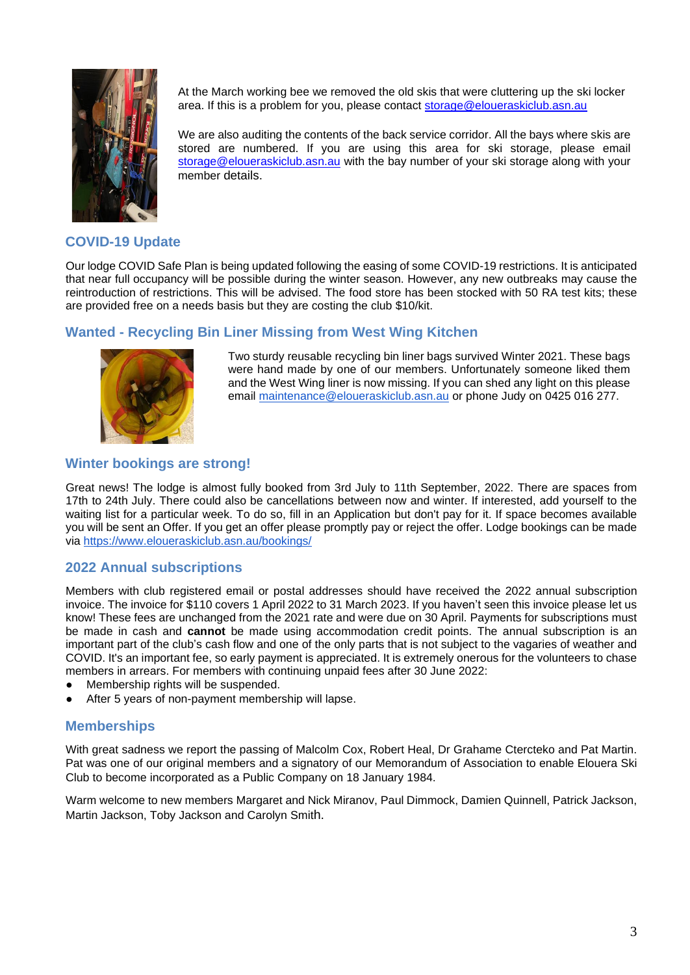

At the March working bee we removed the old skis that were cluttering up the ski locker area. If this is a problem for you, please contact [storage@eloueraskiclub.asn.au](mailto:storage@eloueraskiclub.asn.au)

We are also auditing the contents of the back service corridor. All the bays where skis are stored are numbered. If you are using this area for ski storage, please email [storage@eloueraskiclub.asn.au](mailto:storage@eloueraskiclub.asn.au) with the bay number of your ski storage along with your member details.

## **COVID-19 Update**

Our lodge COVID Safe Plan is being updated following the easing of some COVID-19 restrictions. It is anticipated that near full occupancy will be possible during the winter season. However, any new outbreaks may cause the reintroduction of restrictions. This will be advised. The food store has been stocked with 50 RA test kits; these are provided free on a needs basis but they are costing the club \$10/kit.

## **Wanted - Recycling Bin Liner Missing from West Wing Kitchen**



Two sturdy reusable recycling bin liner bags survived Winter 2021. These bags were hand made by one of our members. Unfortunately someone liked them and the West Wing liner is now missing. If you can shed any light on this please email [maintenance@eloueraskiclub.asn.au](mailto:maintenance@eloueraskiclub.asn.au) or phone Judy on 0425 016 277.

### **Winter bookings are strong!**

Great news! The lodge is almost fully booked from 3rd July to 11th September, 2022. There are spaces from 17th to 24th July. There could also be cancellations between now and winter. If interested, add yourself to the waiting list for a particular week. To do so, fill in an Application but don't pay for it. If space becomes available you will be sent an Offer. If you get an offer please promptly pay or reject the offer. Lodge bookings can be made via [https://www.eloueraskiclub.asn.au/bookings/](http://www.eloueraskiclub.asn.au/bookings/)

### **2022 Annual subscriptions**

Members with club registered email or postal addresses should have received the 2022 annual subscription invoice. The invoice for \$110 covers 1 April 2022 to 31 March 2023. If you haven't seen this invoice please let us know! These fees are unchanged from the 2021 rate and were due on 30 April. Payments for subscriptions must be made in cash and **cannot** be made using accommodation credit points. The annual subscription is an important part of the club's cash flow and one of the only parts that is not subject to the vagaries of weather and COVID. It's an important fee, so early payment is appreciated. It is extremely onerous for the volunteers to chase members in arrears. For members with continuing unpaid fees after 30 June 2022:

- Membership rights will be suspended.
- After 5 years of non-payment membership will lapse.

### **Memberships**

With great sadness we report the passing of Malcolm Cox, Robert Heal, Dr Grahame Ctercteko and Pat Martin. Pat was one of our original members and a signatory of our Memorandum of Association to enable Elouera Ski Club to become incorporated as a Public Company on 18 January 1984.

Warm welcome to new members Margaret and Nick Miranov, Paul Dimmock, Damien Quinnell, Patrick Jackson, Martin Jackson, Toby Jackson and Carolyn Smith.